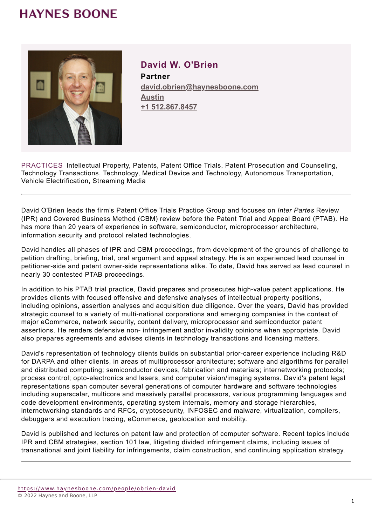

#### **David W. O'Brien Partner**

**david.obrien@haynesboone.com [Austin](https://www.haynesboone.com/locations/austin) [+1 512.867.8457](tel://+1 512.867.8457)**

PRACTICES Intellectual Property, Patents, Patent Office Trials, Patent Prosecution and Counseling, Technology Transactions, Technology, Medical Device and Technology, Autonomous Transportation, Vehicle Electrification, Streaming Media

David O'Brien leads the firm's Patent Office Trials Practice Group and focuses on *Inter Partes* Review (IPR) and Covered Business Method (CBM) review before the Patent Trial and Appeal Board (PTAB). He has more than 20 years of experience in software, semiconductor, microprocessor architecture, information security and protocol related technologies.

David handles all phases of IPR and CBM proceedings, from development of the grounds of challenge to petition drafting, briefing, trial, oral argument and appeal strategy. He is an experienced lead counsel in petitioner-side and patent owner-side representations alike. To date, David has served as lead counsel in nearly 30 contested PTAB proceedings.

In addition to his PTAB trial practice, David prepares and prosecutes high-value patent applications. He provides clients with focused offensive and defensive analyses of intellectual property positions, including opinions, assertion analyses and acquisition due diligence. Over the years, David has provided strategic counsel to a variety of multi-national corporations and emerging companies in the context of major eCommerce, network security, content delivery, microprocessor and semiconductor patent assertions. He renders defensive non- infringement and/or invalidity opinions when appropriate. David also prepares agreements and advises clients in technology transactions and licensing matters.

David's representation of technology clients builds on substantial prior-career experience including R&D for DARPA and other clients, in areas of multiprocessor architecture; software and algorithms for parallel and distributed computing; semiconductor devices, fabrication and materials; internetworking protocols; process control; opto-electronics and lasers, and computer vision/imaging systems. David's patent legal representations span computer several generations of computer hardware and software technologies including superscalar, multicore and massively parallel processors, various programming languages and code development environments, operating system internals, memory and storage hierarchies, internetworking standards and RFCs, cryptosecurity, INFOSEC and malware, virtualization, compilers, debuggers and execution tracing, eCommerce, geolocation and mobility.

David is published and lectures on patent law and protection of computer software. Recent topics include IPR and CBM strategies, section 101 law, litigating divided infringement claims, including issues of transnational and joint liability for infringements, claim construction, and continuing application strategy.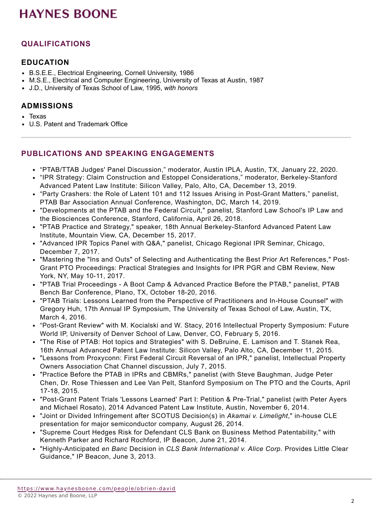### **QUALIFICATIONS**

#### **EDUCATION**

- B.S.E.E., Electrical Engineering, Cornell University, 1986
- M.S.E., Electrical and Computer Engineering, University of Texas at Austin, 1987
- J.D., University of Texas School of Law, 1995, *with honors*

#### **ADMISSIONS**

- Texas
- U.S. Patent and Trademark Office

#### **PUBLICATIONS AND SPEAKING ENGAGEMENTS**

- "PTAB/TTAB Judges' Panel Discussion," moderator, Austin IPLA, Austin, TX, January 22, 2020.
- "IPR Strategy: Claim Construction and Estoppel Considerations," moderator, Berkeley-Stanford Advanced Patent Law Institute: Silicon Valley, Palo, Alto, CA, December 13, 2019.
- "Party Crashers: the Role of Latent 101 and 112 Issues Arising in Post-Grant Matters," panelist, PTAB Bar Association Annual Conference, Washington, DC, March 14, 2019.
- "Developments at the PTAB and the Federal Circuit," panelist, Stanford Law School's IP Law and the Biosciences Conference, Stanford, California, April 26, 2018.
- "PTAB Practice and Strategy," speaker, 18th Annual Berkeley-Stanford Advanced Patent Law Institute, Mountain View, CA, December 15, 2017.
- "Advanced IPR Topics Panel with Q&A," panelist, Chicago Regional IPR Seminar, Chicago, December 7, 2017.
- "Mastering the "Ins and Outs" of Selecting and Authenticating the Best Prior Art References," Post-Grant PTO Proceedings: Practical Strategies and Insights for IPR PGR and CBM Review, New York, NY, May 10-11, 2017.
- "PTAB Trial Proceedings A Boot Camp & Advanced Practice Before the PTAB," panelist, PTAB Bench Bar Conference, Plano, TX, October 18-20, 2016.
- "PTAB Trials: Lessons Learned from the Perspective of Practitioners and In-House Counsel" with Gregory Huh, 17th Annual IP Symposium, The University of Texas School of Law, Austin, TX, March 4, 2016.
- "Post-Grant Review" with M. Kocialski and W. Stacy, 2016 Intellectual Property Symposium: Future World IP, University of Denver School of Law, Denver, CO, February 5, 2016.
- "The Rise of PTAB: Hot topics and Strategies" with S. DeBruine, E. Lamison and T. Stanek Rea, 16th Annual Advanced Patent Law Institute: Silicon Valley, Palo Alto, CA, December 11, 2015.
- "Lessons from Proxyconn: First Federal Circuit Reversal of an IPR," panelist, Intellectual Property Owners Association Chat Channel discussion, July 7, 2015.
- "Practice Before the PTAB in IPRs and CBMRs," panelist (with Steve Baughman, Judge Peter Chen, Dr. Rose Thiessen and Lee Van Pelt, Stanford Symposium on The PTO and the Courts, April 17-18, 2015.
- "Post-Grant Patent Trials 'Lessons Learned' Part I: Petition & Pre-Trial," panelist (with Peter Ayers and Michael Rosato), 2014 Advanced Patent Law Institute, Austin, November 6, 2014.
- "Joint or Divided Infringement after SCOTUS Decision(s) in *Akamai v. Limelight*," in-house CLE presentation for major semiconductor company, August 26, 2014.
- "Supreme Court Hedges Risk for Defendant CLS Bank on Business Method Patentability," with Kenneth Parker and Richard Rochford, IP Beacon, June 21, 2014.
- "Highly-Anticipated *en Banc* Decision in *CLS Bank International v. Alice Corp.* Provides Little Clear Guidance," IP Beacon, June 3, 2013.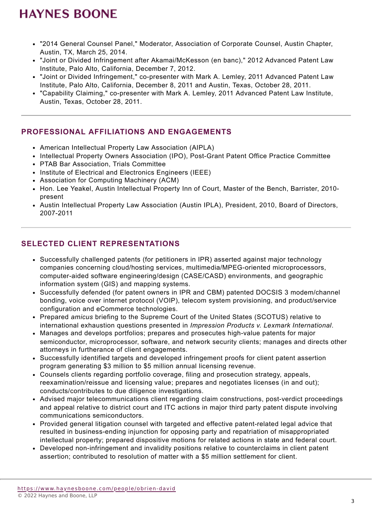- "2014 General Counsel Panel," Moderator, Association of Corporate Counsel, Austin Chapter, Austin, TX, March 25, 2014.
- "Joint or Divided Infringement after Akamai/McKesson (en banc)," 2012 Advanced Patent Law Institute, Palo Alto, California, December 7, 2012.
- "Joint or Divided Infringement," co-presenter with Mark A. Lemley, 2011 Advanced Patent Law Institute, Palo Alto, California, December 8, 2011 and Austin, Texas, October 28, 2011.
- "Capability Claiming," co-presenter with Mark A. Lemley, 2011 Advanced Patent Law Institute, Austin, Texas, October 28, 2011.

#### **PROFESSIONAL AFFILIATIONS AND ENGAGEMENTS**

- American Intellectual Property Law Association (AIPLA)
- Intellectual Property Owners Association (IPO), Post-Grant Patent Office Practice Committee
- PTAB Bar Association, Trials Committee
- Institute of Electrical and Electronics Engineers (IEEE)
- Association for Computing Machinery (ACM)
- Hon. Lee Yeakel, Austin Intellectual Property Inn of Court, Master of the Bench, Barrister, 2010present
- Austin Intellectual Property Law Association (Austin IPLA), President, 2010, Board of Directors, 2007-2011

#### **SELECTED CLIENT REPRESENTATIONS**

- Successfully challenged patents (for petitioners in IPR) asserted against major technology companies concerning cloud/hosting services, multimedia/MPEG-oriented microprocessors, computer-aided software engineering/design (CASE/CASD) environments, and geographic information system (GIS) and mapping systems.
- Successfully defended (for patent owners in IPR and CBM) patented DOCSIS 3 modem/channel bonding, voice over internet protocol (VOIP), telecom system provisioning, and product/service configuration and eCommerce technologies.
- Prepared *amicus* briefing to the Supreme Court of the United States (SCOTUS) relative to international exhaustion questions presented in *Impression Products v. Lexmark International*.
- Manages and develops portfolios; prepares and prosecutes high-value patents for major semiconductor, microprocessor, software, and network security clients; manages and directs other attorneys in furtherance of client engagements.
- Successfully identified targets and developed infringement proofs for client patent assertion program generating \$3 million to \$5 million annual licensing revenue.
- Counsels clients regarding portfolio coverage, filing and prosecution strategy, appeals, reexamination/reissue and licensing value; prepares and negotiates licenses (in and out); conducts/contributes to due diligence investigations.
- Advised major telecommunications client regarding claim constructions, post-verdict proceedings and appeal relative to district court and ITC actions in major third party patent dispute involving communications semiconductors.
- Provided general litigation counsel with targeted and effective patent-related legal advice that resulted in business-ending injunction for opposing party and repatriation of misappropriated intellectual property; prepared dispositive motions for related actions in state and federal court.
- Developed non-infringement and invalidity positions relative to counterclaims in client patent assertion; contributed to resolution of matter with a \$5 million settlement for client.